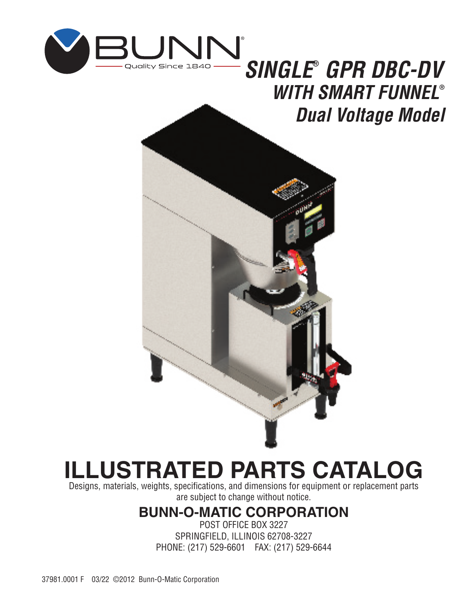

# *SINGLE® GPR DBC-DV WITH SMART FUNNEL® Dual Voltage Model*



# **ILLUSTRATED PARTS CATALOG**

Designs, materials, weights, specifications, and dimensions for equipment or replacement parts are subject to change without notice.

# **BUNN-O-MATIC CORPORATION**

POST OFFICE BOX 3227 SPRINGFIELD, ILLINOIS 62708-3227 PHONE: (217) 529-6601 FAX: (217) 529-6644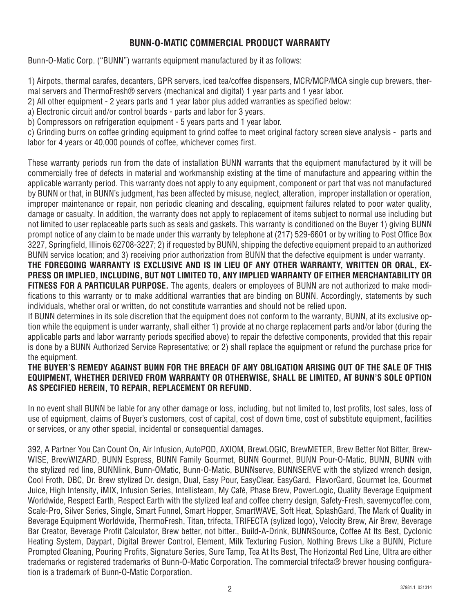#### **BUNN-O-MATIC COMMERCIAL PRODUCT WARRANTY**

Bunn-O-Matic Corp. ("BUNN") warrants equipment manufactured by it as follows:

1) Airpots, thermal carafes, decanters, GPR servers, iced tea/coffee dispensers, MCR/MCP/MCA single cup brewers, thermal servers and ThermoFresh® servers (mechanical and digital) 1 year parts and 1 year labor.

2) All other equipment - 2 years parts and 1 year labor plus added warranties as specified below:

a) Electronic circuit and/or control boards - parts and labor for 3 years.

b) Compressors on refrigeration equipment - 5 years parts and 1 year labor.

c) Grinding burrs on coffee grinding equipment to grind coffee to meet original factory screen sieve analysis - parts and labor for 4 years or 40,000 pounds of coffee, whichever comes first.

These warranty periods run from the date of installation BUNN warrants that the equipment manufactured by it will be commercially free of defects in material and workmanship existing at the time of manufacture and appearing within the applicable warranty period. This warranty does not apply to any equipment, component or part that was not manufactured by BUNN or that, in BUNN's judgment, has been affected by misuse, neglect, alteration, improper installation or operation, improper maintenance or repair, non periodic cleaning and descaling, equipment failures related to poor water quality, damage or casualty. In addition, the warranty does not apply to replacement of items subject to normal use including but not limited to user replaceable parts such as seals and gaskets. This warranty is conditioned on the Buyer 1) giving BUNN prompt notice of any claim to be made under this warranty by telephone at (217) 529-6601 or by writing to Post Office Box 3227, Springfield, Illinois 62708-3227; 2) if requested by BUNN, shipping the defective equipment prepaid to an authorized BUNN service location; and 3) receiving prior authorization from BUNN that the defective equipment is under warranty.

**THE FOREGOING WARRANTY IS EXCLUSIVE AND IS IN LIEU OF ANY OTHER WARRANTY, WRITTEN OR ORAL, EX-PRESS OR IMPLIED, INCLUDING, BUT NOT LIMITED TO, ANY IMPLIED WARRANTY OF EITHER MERCHANTABILITY OR FITNESS FOR A PARTICULAR PURPOSE.** The agents, dealers or employees of BUNN are not authorized to make modifications to this warranty or to make additional warranties that are binding on BUNN. Accordingly, statements by such individuals, whether oral or written, do not constitute warranties and should not be relied upon.

If BUNN determines in its sole discretion that the equipment does not conform to the warranty, BUNN, at its exclusive option while the equipment is under warranty, shall either 1) provide at no charge replacement parts and/or labor (during the applicable parts and labor warranty periods specified above) to repair the defective components, provided that this repair is done by a BUNN Authorized Service Representative; or 2) shall replace the equipment or refund the purchase price for the equipment.

#### **THE BUYER'S REMEDY AGAINST BUNN FOR THE BREACH OF ANY OBLIGATION ARISING OUT OF THE SALE OF THIS EQUIPMENT, WHETHER DERIVED FROM WARRANTY OR OTHERWISE, SHALL BE LIMITED, AT BUNN'S SOLE OPTION AS SPECIFIED HEREIN, TO REPAIR, REPLACEMENT OR REFUND.**

In no event shall BUNN be liable for any other damage or loss, including, but not limited to, lost profits, lost sales, loss of use of equipment, claims of Buyer's customers, cost of capital, cost of down time, cost of substitute equipment, facilities or services, or any other special, incidental or consequential damages.

392, A Partner You Can Count On, Air Infusion, AutoPOD, AXIOM, BrewLOGIC, BrewMETER, Brew Better Not Bitter, Brew-WISE, BrewWIZARD, BUNN Espress, BUNN Family Gourmet, BUNN Gourmet, BUNN Pour-O-Matic, BUNN, BUNN with the stylized red line, BUNNlink, Bunn-OMatic, Bunn-O-Matic, BUNNserve, BUNNSERVE with the stylized wrench design, Cool Froth, DBC, Dr. Brew stylized Dr. design, Dual, Easy Pour, EasyClear, EasyGard, FlavorGard, Gourmet Ice, Gourmet Juice, High Intensity, iMIX, Infusion Series, Intellisteam, My Café, Phase Brew, PowerLogic, Quality Beverage Equipment Worldwide, Respect Earth, Respect Earth with the stylized leaf and coffee cherry design, Safety-Fresh, savemycoffee.com, Scale-Pro, Silver Series, Single, Smart Funnel, Smart Hopper, SmartWAVE, Soft Heat, SplashGard, The Mark of Quality in Beverage Equipment Worldwide, ThermoFresh, Titan, trifecta, TRIFECTA (sylized logo), Velocity Brew, Air Brew, Beverage Bar Creator, Beverage Profit Calculator, Brew better, not bitter., Build-A-Drink, BUNNSource, Coffee At Its Best, Cyclonic Heating System, Daypart, Digital Brewer Control, Element, Milk Texturing Fusion, Nothing Brews Like a BUNN, Picture Prompted Cleaning, Pouring Profits, Signature Series, Sure Tamp, Tea At Its Best, The Horizontal Red Line, Ultra are either trademarks or registered trademarks of Bunn-O-Matic Corporation. The commercial trifecta® brewer housing configuration is a trademark of Bunn-O-Matic Corporation.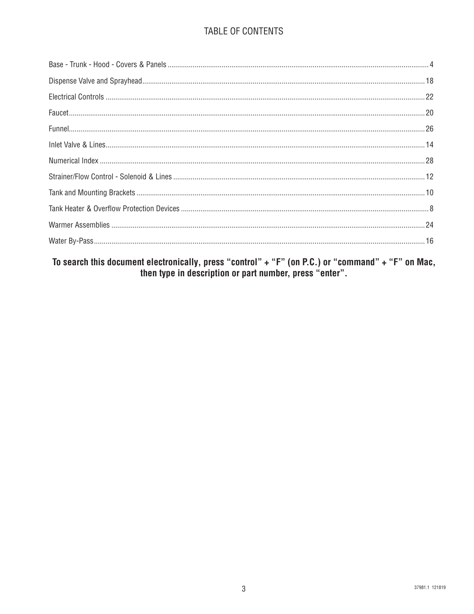#### TABLE OF CONTENTS

To search this document electronically, press "control" + "F" (on P.C.) or "command" + "F" on Mac,<br>then type in description or part number, press "enter".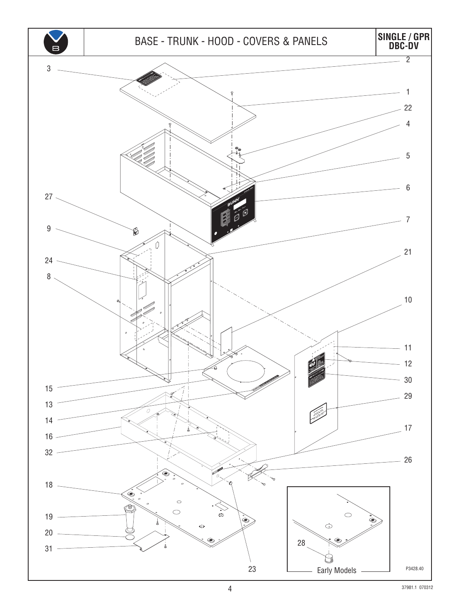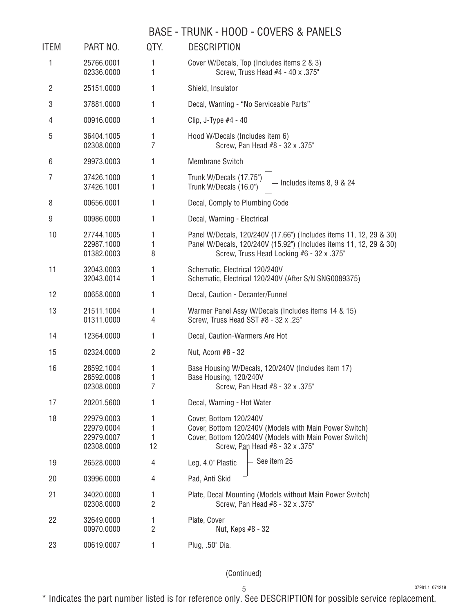#### BASE - TRUNK - HOOD - COVERS & PANELS

| <b>ITEM</b> | PART NO.                                             | QTY.                | <b>DESCRIPTION</b>                                                                                                                                                                    |
|-------------|------------------------------------------------------|---------------------|---------------------------------------------------------------------------------------------------------------------------------------------------------------------------------------|
| 1           | 25766.0001<br>02336.0000                             | 1<br>1              | Cover W/Decals, Top (Includes items 2 & 3)<br>Screw, Truss Head #4 - 40 x .375"                                                                                                       |
| 2           | 25151.0000                                           | 1                   | Shield, Insulator                                                                                                                                                                     |
| 3           | 37881.0000                                           | $\mathbf{1}$        | Decal, Warning - "No Serviceable Parts"                                                                                                                                               |
| 4           | 00916.0000                                           | 1                   | Clip, J-Type $#4 - 40$                                                                                                                                                                |
| 5           | 36404.1005<br>02308.0000                             | 1<br>7              | Hood W/Decals (Includes item 6)<br>Screw, Pan Head #8 - 32 x .375"                                                                                                                    |
| 6           | 29973.0003                                           | 1                   | <b>Membrane Switch</b>                                                                                                                                                                |
| 7           | 37426.1000<br>37426.1001                             | 1<br>1              | Trunk W/Decals (17.75")<br>Includes items 8, 9 & 24<br>Trunk W/Decals (16.0")                                                                                                         |
| 8           | 00656.0001                                           | 1                   | Decal, Comply to Plumbing Code                                                                                                                                                        |
| 9           | 00986.0000                                           | 1                   | Decal, Warning - Electrical                                                                                                                                                           |
| 10          | 27744.1005<br>22987.1000<br>01382.0003               | 1<br>1<br>8         | Panel W/Decals, 120/240V (17.66") (Includes items 11, 12, 29 & 30)<br>Panel W/Decals, 120/240V (15.92") (Includes items 11, 12, 29 & 30)<br>Screw, Truss Head Locking #6 - 32 x .375" |
| 11          | 32043.0003<br>32043.0014                             | 1<br>1              | Schematic, Electrical 120/240V<br>Schematic, Electrical 120/240V (After S/N SNG0089375)                                                                                               |
| 12          | 00658.0000                                           | 1                   | Decal, Caution - Decanter/Funnel                                                                                                                                                      |
| 13          | 21511.1004<br>01311.0000                             | 1<br>$\overline{4}$ | Warmer Panel Assy W/Decals (Includes items 14 & 15)<br>Screw, Truss Head SST #8 - 32 x .25"                                                                                           |
| 14          | 12364.0000                                           | 1                   | Decal, Caution-Warmers Are Hot                                                                                                                                                        |
| 15          | 02324.0000                                           | $\overline{c}$      | Nut, Acorn #8 - 32                                                                                                                                                                    |
| 16          | 28592.1004<br>28592.0008<br>02308.0000               | 1<br>1<br>7         | Base Housing W/Decals, 120/240V (Includes item 17)<br>Base Housing, 120/240V<br>Screw, Pan Head #8 - 32 x .375"                                                                       |
| 17          | 20201.5600                                           | 1                   | Decal, Warning - Hot Water                                                                                                                                                            |
| 18          | 22979.0003<br>22979.0004<br>22979.0007<br>02308.0000 | 1<br>1<br>1<br>12   | Cover, Bottom 120/240V<br>Cover, Bottom 120/240V (Models with Main Power Switch)<br>Cover, Bottom 120/240V (Models with Main Power Switch)<br>Screw, Pan Head #8 - 32 x .375"         |
| 19          | 26528.0000                                           | 4                   | See item 25<br>Leg, 4.0" Plastic                                                                                                                                                      |
| 20          | 03996.0000                                           | 4                   | Pad, Anti Skid                                                                                                                                                                        |
| 21          | 34020.0000<br>02308.0000                             | 1<br>$\overline{2}$ | Plate, Decal Mounting (Models without Main Power Switch)<br>Screw, Pan Head #8 - 32 x .375"                                                                                           |
| 22          | 32649.0000<br>00970.0000                             | 1<br>$\overline{2}$ | Plate, Cover<br>Nut, Keps #8 - 32                                                                                                                                                     |
| 23          | 00619.0007                                           | 1                   | Plug, .50" Dia.                                                                                                                                                                       |

(Continued)

37981.1 071219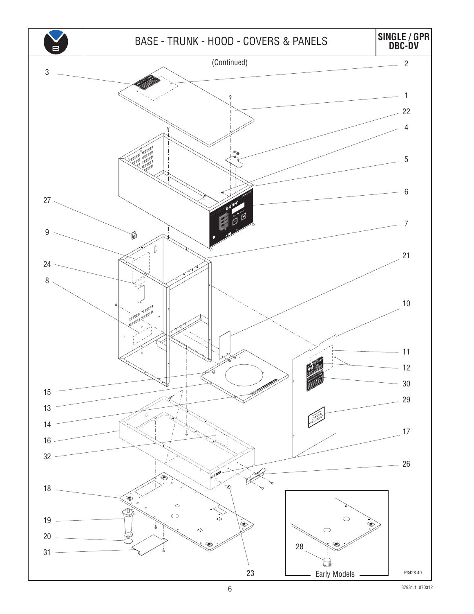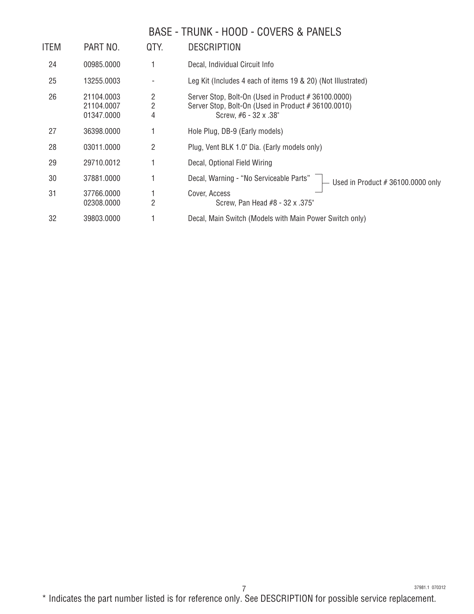# BASE - TRUNK - HOOD - COVERS & PANELS

| ITEM | PART NO.                               | QTY.           | <b>DESCRIPTION</b>                                                                                                                         |
|------|----------------------------------------|----------------|--------------------------------------------------------------------------------------------------------------------------------------------|
| 24   | 00985.0000                             |                | Decal, Individual Circuit Info                                                                                                             |
| 25   | 13255.0003                             |                | Leg Kit (Includes 4 each of items 19 & 20) (Not Illustrated)                                                                               |
| 26   | 21104.0003<br>21104.0007<br>01347.0000 | 2<br>2<br>4    | Server Stop, Bolt-On (Used in Product # 36100.0000)<br>Server Stop, Bolt-On (Used in Product # 36100.0010)<br>Screw, $#6 - 32 \times .38"$ |
| 27   | 36398.0000                             |                | Hole Plug, DB-9 (Early models)                                                                                                             |
| 28   | 03011.0000                             | 2              | Plug, Vent BLK 1.0" Dia. (Early models only)                                                                                               |
| 29   | 29710.0012                             |                | Decal, Optional Field Wiring                                                                                                               |
| 30   | 37881.0000                             |                | Decal, Warning - "No Serviceable Parts"<br>Used in Product $#36100.0000$ only                                                              |
| 31   | 37766.0000<br>02308.0000               | $\overline{2}$ | Cover, Access<br>Screw, Pan Head #8 - 32 x .375"                                                                                           |
| 32   | 39803.0000                             |                | Decal, Main Switch (Models with Main Power Switch only)                                                                                    |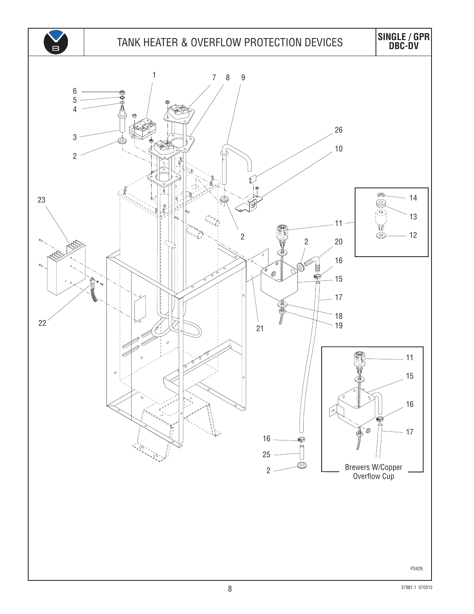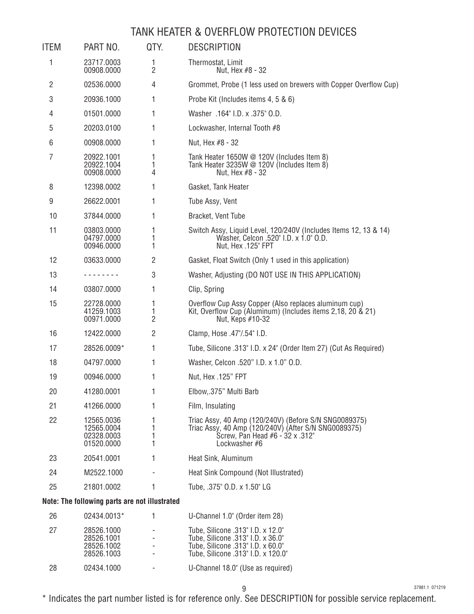#### TANK HEATER & OVERFLOW PROTECTION DEVICES

| <b>ITEM</b> | PART NO.                                             | QTY.                     | <b>DESCRIPTION</b>                                                                                                                                                |
|-------------|------------------------------------------------------|--------------------------|-------------------------------------------------------------------------------------------------------------------------------------------------------------------|
| 1           | 23717.0003<br>00908.0000                             | 1<br>$\overline{2}$      | Thermostat, Limit<br>Nut, Hex #8 - 32                                                                                                                             |
| 2           | 02536.0000                                           | 4                        | Grommet, Probe (1 less used on brewers with Copper Overflow Cup)                                                                                                  |
| 3           | 20936.1000                                           | 1                        | Probe Kit (Includes items 4, 5 & 6)                                                                                                                               |
| 4           | 01501.0000                                           | 1                        | Washer .164" I.D. x .375" O.D.                                                                                                                                    |
| 5           | 20203.0100                                           | 1                        | Lockwasher, Internal Tooth #8                                                                                                                                     |
| 6           | 00908.0000                                           | 1                        | Nut, Hex #8 - 32                                                                                                                                                  |
| 7           | 20922.1001<br>20922.1004<br>00908.0000               | 1<br>1<br>4              | Tank Heater 1650W @ 120V (Includes Item 8)<br>Tank Heater 3235W $\oslash$ 120V (Includes Item 8)<br>Nut, Hex #8 - 32                                              |
| 8           | 12398.0002                                           | 1                        | Gasket, Tank Heater                                                                                                                                               |
| 9           | 26622.0001                                           | 1                        | Tube Assy, Vent                                                                                                                                                   |
| 10          | 37844.0000                                           | 1                        | Bracket, Vent Tube                                                                                                                                                |
| 11          | 03803.0000<br>04797.0000<br>00946.0000               | 1<br>1<br>1              | Switch Assy, Liquid Level, 120/240V (Includes Items 12, 13 & 14)<br>Washer, Celcon .520" I.D. x 1.0" O.D.<br>Nut, Hex .125" FPT                                   |
| 12          | 03633.0000                                           | $\overline{2}$           | Gasket, Float Switch (Only 1 used in this application)                                                                                                            |
| 13          | -------                                              | 3                        | Washer, Adjusting (DO NOT USE IN THIS APPLICATION)                                                                                                                |
| 14          | 03807.0000                                           | 1                        | Clip, Spring                                                                                                                                                      |
| 15          | 22728.0000<br>41259.1003<br>00971.0000               | 1<br>1<br>$\overline{2}$ | Overflow Cup Assy Copper (Also replaces aluminum cup)<br>Kit, Overflow Cup (Aluminum) (Includes items 2,18, 20 & 21)<br>Nut, Keps #10-32                          |
| 16          | 12422.0000                                           | $\overline{2}$           | Clamp, Hose .47"/.54" I.D.                                                                                                                                        |
| 17          | 28526.0009*                                          | 1                        | Tube, Silicone .313" I.D. x 24" (Order Item 27) (Cut As Required)                                                                                                 |
| 18          | 04797.0000                                           | 1                        | Washer, Celcon .520" I.D. x 1.0" O.D.                                                                                                                             |
| 19          | 00946.0000                                           | 1                        | Nut, Hex .125" FPT                                                                                                                                                |
| 20          | 41280.0001                                           | 1                        | Elbow,.375" Multi Barb                                                                                                                                            |
| 21          | 41266.0000                                           | 1                        | Film, Insulating                                                                                                                                                  |
| 22          | 12565.0036<br>12565.0004<br>02328.0003<br>01520.0000 | 1<br>1<br>1<br>1         | Triac Assy, 40 Amp (120/240V) (Before S/N SNG0089375)<br>Triac Assy, 40 Amp (120/240V) (After S/N SNG0089375)<br>Screw, Pan Head #6 - 32 x .312"<br>Lockwasher #6 |
| 23          | 20541.0001                                           | 1                        | Heat Sink, Aluminum                                                                                                                                               |
| 24          | M2522.1000                                           |                          | Heat Sink Compound (Not Illustrated)                                                                                                                              |
| 25          | 21801.0002                                           | 1                        | Tube, .375" O.D. x 1.50" LG                                                                                                                                       |
|             | Note: The following parts are not illustrated        |                          |                                                                                                                                                                   |
| 26          | 02434.0013*                                          | 1                        | U-Channel 1.0" (Order item 28)                                                                                                                                    |
| 27          | 28526.1000<br>28526.1001                             |                          | Tube, Silicone .313" I.D. x 12.0"<br>Tube, Silicone .313" I.D. x 36.0"                                                                                            |

#### 28526.1003 - Tube, Silicone .313" I.D. x 120.0" 02434.1000 - U-Channel 18.0" (Use as required)

28526.1002 - Tube, Silicone .313" I.D. x 60.0"

37981.1 071219

\* Indicates the part number listed is for reference only. See DESCRIPTION for possible service replacement.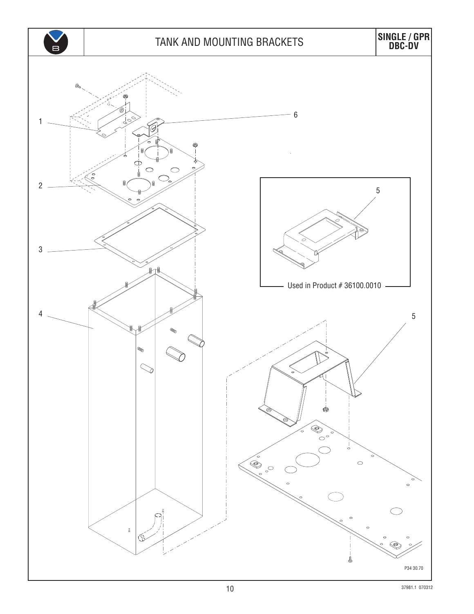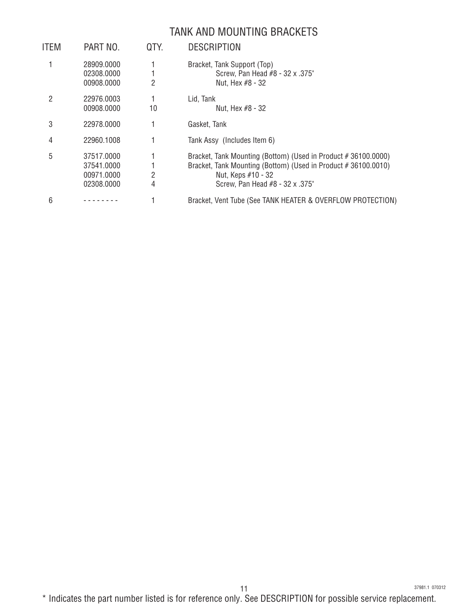#### TANK AND MOUNTING BRACKETS

| <b>ITEM</b> | PART NO.                                             | QTY.   | <b>DESCRIPTION</b>                                                                                                                                                                      |
|-------------|------------------------------------------------------|--------|-----------------------------------------------------------------------------------------------------------------------------------------------------------------------------------------|
|             | 28909.0000<br>02308.0000<br>00908.0000               | 2      | Bracket, Tank Support (Top)<br>Screw, Pan Head #8 - 32 x .375"<br>Nut, Hex #8 - 32                                                                                                      |
| 2           | 22976.0003<br>00908.0000                             | 10     | Lid, Tank<br>Nut, Hex #8 - 32                                                                                                                                                           |
| 3           | 22978.0000                                           |        | Gasket, Tank                                                                                                                                                                            |
| 4           | 22960.1008                                           |        | Tank Assy (Includes Item 6)                                                                                                                                                             |
| 5           | 37517.0000<br>37541.0000<br>00971.0000<br>02308.0000 | 2<br>4 | Bracket, Tank Mounting (Bottom) (Used in Product #36100.0000)<br>Bracket, Tank Mounting (Bottom) (Used in Product #36100.0010)<br>Nut, Keps #10 - 32<br>Screw, Pan Head #8 - 32 x .375" |
| 6           |                                                      |        | Bracket, Vent Tube (See TANK HEATER & OVERFLOW PROTECTION)                                                                                                                              |

\* Indicates the part number listed is for reference only. See DESCRIPTION for possible service replacement.

37981.1 070312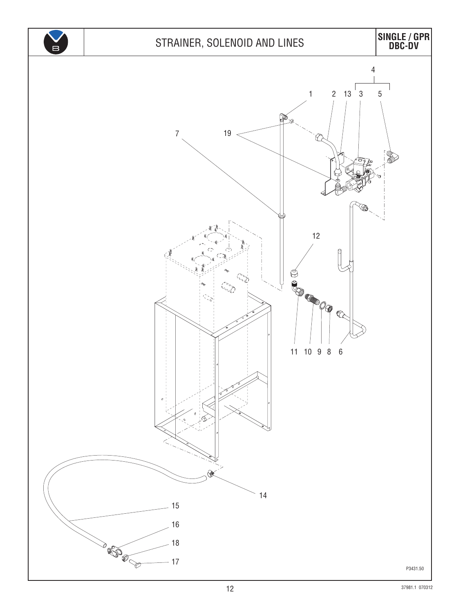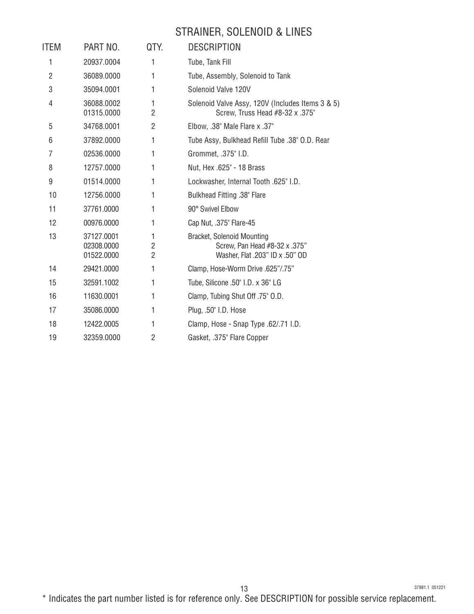# STRAINER, SOLENOID & LINES

| <b>ITEM</b>    | PART NO.                               | QTY.                                  | <b>DESCRIPTION</b>                                                                                    |
|----------------|----------------------------------------|---------------------------------------|-------------------------------------------------------------------------------------------------------|
| 1              | 20937.0004                             | 1                                     | Tube, Tank Fill                                                                                       |
| $\overline{2}$ | 36089.0000                             | 1                                     | Tube, Assembly, Solenoid to Tank                                                                      |
| 3              | 35094.0001                             | 1                                     | Solenoid Valve 120V                                                                                   |
| 4              | 36088.0002<br>01315.0000               | 1<br>$\overline{2}$                   | Solenoid Valve Assy, 120V (Includes Items 3 & 5)<br>Screw, Truss Head #8-32 x .375"                   |
| 5              | 34768.0001                             | 2                                     | Elbow, .38" Male Flare x .37"                                                                         |
| 6              | 37892.0000                             | 1                                     | Tube Assy, Bulkhead Refill Tube .38" O.D. Rear                                                        |
| 7              | 02536.0000                             | 1                                     | Grommet, .375" I.D.                                                                                   |
| 8              | 12757.0000                             | 1                                     | Nut, Hex .625" - 18 Brass                                                                             |
| 9              | 01514.0000                             | 1                                     | Lockwasher, Internal Tooth .625" I.D.                                                                 |
| 10             | 12756.0000                             | 1                                     | Bulkhead Fitting .38" Flare                                                                           |
| 11             | 37761.0000                             | 1                                     | 90° Swivel Elbow                                                                                      |
| 12             | 00976.0000                             | 1                                     | Cap Nut, .375" Flare-45                                                                               |
| 13             | 37127.0001<br>02308.0000<br>01522.0000 | 1<br>$\overline{2}$<br>$\overline{2}$ | <b>Bracket, Solenoid Mounting</b><br>Screw, Pan Head #8-32 x .375"<br>Washer, Flat .203" ID x .50" OD |
| 14             | 29421.0000                             | 1                                     | Clamp, Hose-Worm Drive .625"/.75"                                                                     |
| 15             | 32591.1002                             | 1                                     | Tube, Silicone .50" I.D. x 36" LG                                                                     |
| 16             | 11630.0001                             | 1                                     | Clamp, Tubing Shut Off .75" O.D.                                                                      |
| 17             | 35086.0000                             | 1                                     | Plug, .50" I.D. Hose                                                                                  |
| 18             | 12422.0005                             | 1                                     | Clamp, Hose - Snap Type .62/.71 I.D.                                                                  |
| 19             | 32359.0000                             | $\overline{2}$                        | Gasket, .375" Flare Copper                                                                            |
|                |                                        |                                       |                                                                                                       |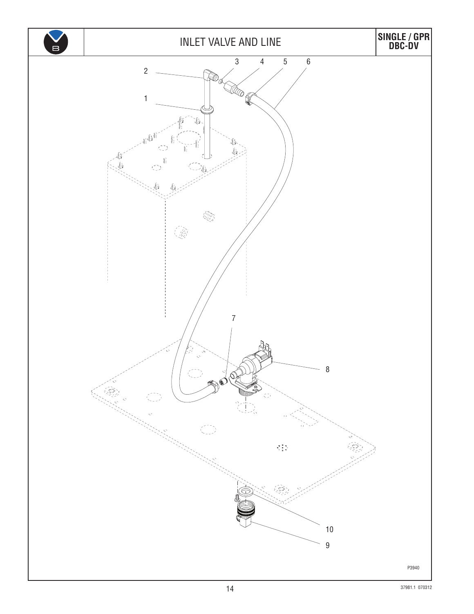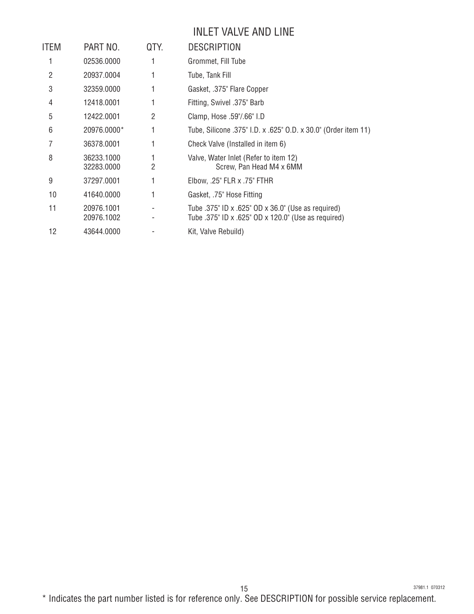#### INLET VALVE AND LINE

| ITEM | PART NO.                 | QTY. | <b>DESCRIPTION</b>                                                                                        |
|------|--------------------------|------|-----------------------------------------------------------------------------------------------------------|
| 1    | 02536.0000               | 1    | Grommet, Fill Tube                                                                                        |
| 2    | 20937.0004               | 1    | Tube, Tank Fill                                                                                           |
| 3    | 32359.0000               |      | Gasket, .375" Flare Copper                                                                                |
| 4    | 12418.0001               |      | Fitting, Swivel .375" Barb                                                                                |
| 5    | 12422.0001               | 2    | Clamp, Hose .59"/.66" I.D                                                                                 |
| 6    | 20976.0000*              | 1    | Tube, Silicone .375" I.D. x .625" O.D. x 30.0" (Order item 11)                                            |
|      | 36378.0001               |      | Check Valve (Installed in item 6)                                                                         |
| 8    | 36233.1000<br>32283,0000 | 2    | Valve, Water Inlet (Refer to item 12)<br>Screw, Pan Head M4 x 6MM                                         |
| 9    | 37297.0001               |      | Elbow, .25" FLR x .75" FTHR                                                                               |
| 10   | 41640.0000               | 1    | Gasket, .75" Hose Fitting                                                                                 |
| 11   | 20976.1001<br>20976.1002 |      | Tube .375" ID x .625" OD x 36.0" (Use as required)<br>Tube .375" ID x .625" OD x 120.0" (Use as required) |
| 12   | 43644.0000               |      | Kit, Valve Rebuild)                                                                                       |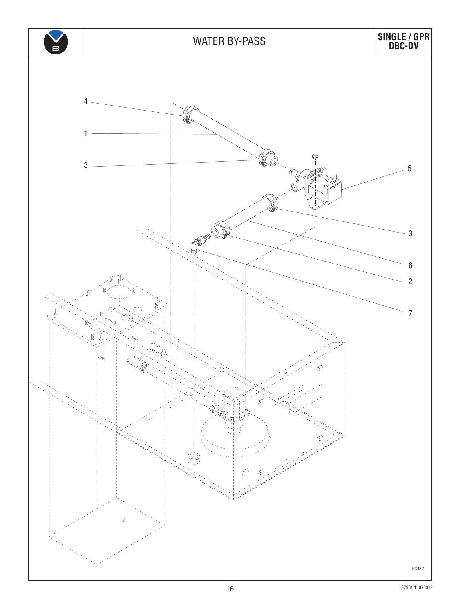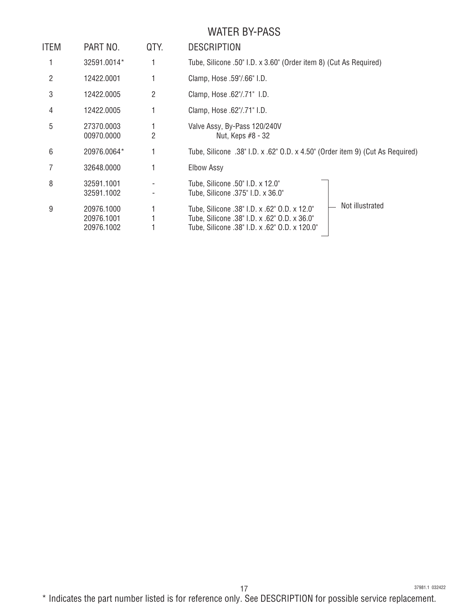# WATER BY-PASS

| ITEM | PART NO.                               | QTY. | <b>DESCRIPTION</b>                                                                                                                                               |
|------|----------------------------------------|------|------------------------------------------------------------------------------------------------------------------------------------------------------------------|
|      | 32591.0014*                            |      | Tube, Silicone .50" I.D. x 3.60" (Order item 8) (Cut As Required)                                                                                                |
| 2    | 12422.0001                             |      | Clamp, Hose .59"/.66" I.D.                                                                                                                                       |
| 3    | 12422.0005                             | 2    | Clamp, Hose .62"/.71" I.D.                                                                                                                                       |
| 4    | 12422.0005                             |      | Clamp, Hose .62"/.71" I.D.                                                                                                                                       |
| 5    | 27370.0003<br>00970.0000               | 2    | Valve Assy, By-Pass 120/240V<br>Nut, Keps #8 - 32                                                                                                                |
| 6    | 20976.0064*                            |      | Tube, Silicone .38" I.D. x .62" O.D. x 4.50" (Order item 9) (Cut As Required)                                                                                    |
|      | 32648.0000                             |      | <b>Elbow Assy</b>                                                                                                                                                |
| 8    | 32591.1001<br>32591.1002               |      | Tube, Silicone .50" I.D. x 12.0"<br>Tube, Silicone .375" I.D. x 36.0"                                                                                            |
| 9    | 20976.1000<br>20976.1001<br>20976.1002 |      | Not illustrated<br>Tube, Silicone .38" I.D. x .62" O.D. x 12.0"<br>Tube, Silicone .38" I.D. x .62" O.D. x 36.0"<br>Tube, Silicone .38" I.D. x .62" O.D. x 120.0" |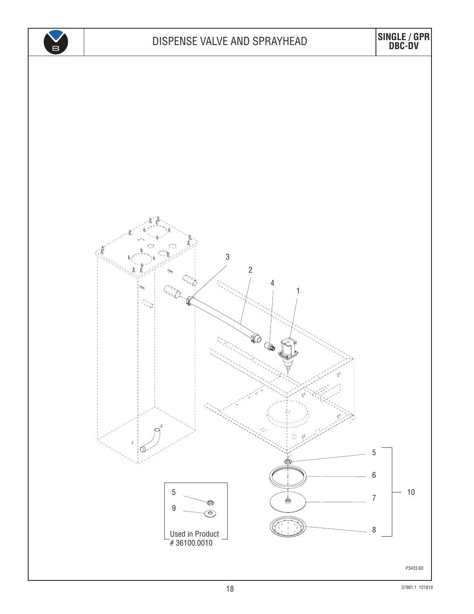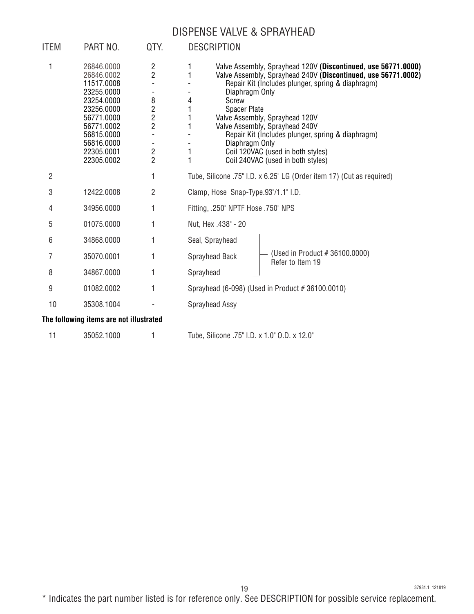#### DISPENSE VALVE & SPRAYHEAD

| ITEM           | PART NO.                                                                                                                                                             | QTY.                                                                                                                                     | <b>DESCRIPTION</b>                                                                                                                                                                                                                                                                                                                                                                                                                                                                       |
|----------------|----------------------------------------------------------------------------------------------------------------------------------------------------------------------|------------------------------------------------------------------------------------------------------------------------------------------|------------------------------------------------------------------------------------------------------------------------------------------------------------------------------------------------------------------------------------------------------------------------------------------------------------------------------------------------------------------------------------------------------------------------------------------------------------------------------------------|
| 1              | 26846.0000<br>26846.0002<br>11517.0008<br>23255.0000<br>23254.0000<br>23256.0000<br>56771.0000<br>56771.0002<br>56815.0000<br>56816.0000<br>22305.0001<br>22305.0002 | $\overline{c}$<br>$\overline{2}$<br>8<br>$\overline{c}$<br>$\overline{c}$<br>$\overline{c}$<br>$\overline{\mathbf{c}}$<br>$\overline{2}$ | Valve Assembly, Sprayhead 120V (Discontinued, use 56771.0000)<br>1<br>1<br>Valve Assembly, Sprayhead 240V (Discontinued, use 56771.0002)<br>Repair Kit (Includes plunger, spring & diaphragm)<br>Diaphragm Only<br>Screw<br>4<br><b>Spacer Plate</b><br>Valve Assembly, Sprayhead 120V<br>Valve Assembly, Sprayhead 240V<br>1<br>Repair Kit (Includes plunger, spring & diaphragm)<br>Diaphragm Only<br>1<br>Coil 120VAC (used in both styles)<br>1<br>Coil 240VAC (used in both styles) |
| $\overline{2}$ |                                                                                                                                                                      | 1                                                                                                                                        | Tube, Silicone .75" I.D. x 6.25" LG (Order item 17) (Cut as required)                                                                                                                                                                                                                                                                                                                                                                                                                    |
| 3              | 12422.0008                                                                                                                                                           | $\overline{2}$                                                                                                                           | Clamp, Hose Snap-Type.93"/1.1" I.D.                                                                                                                                                                                                                                                                                                                                                                                                                                                      |
| 4              | 34956.0000                                                                                                                                                           | 1                                                                                                                                        | Fitting, .250" NPTF Hose .750" NPS                                                                                                                                                                                                                                                                                                                                                                                                                                                       |
| 5              | 01075.0000                                                                                                                                                           | 1                                                                                                                                        | Nut, Hex .438" - 20                                                                                                                                                                                                                                                                                                                                                                                                                                                                      |
| 6              | 34868.0000                                                                                                                                                           | 1                                                                                                                                        | Seal, Sprayhead                                                                                                                                                                                                                                                                                                                                                                                                                                                                          |
| 7              | 35070.0001                                                                                                                                                           | 1                                                                                                                                        | (Used in Product # 36100.0000)<br>Sprayhead Back<br>Refer to Item 19                                                                                                                                                                                                                                                                                                                                                                                                                     |
| 8              | 34867.0000                                                                                                                                                           | 1                                                                                                                                        | Sprayhead                                                                                                                                                                                                                                                                                                                                                                                                                                                                                |
| 9              | 01082.0002                                                                                                                                                           | 1                                                                                                                                        | Sprayhead (6-098) (Used in Product #36100.0010)                                                                                                                                                                                                                                                                                                                                                                                                                                          |
| 10             | 35308.1004                                                                                                                                                           |                                                                                                                                          | Sprayhead Assy                                                                                                                                                                                                                                                                                                                                                                                                                                                                           |
|                | The following items are not illustrated                                                                                                                              |                                                                                                                                          |                                                                                                                                                                                                                                                                                                                                                                                                                                                                                          |
| 11             | 35052.1000                                                                                                                                                           |                                                                                                                                          | Tube, Silicone .75" I.D. x 1.0" O.D. x 12.0"                                                                                                                                                                                                                                                                                                                                                                                                                                             |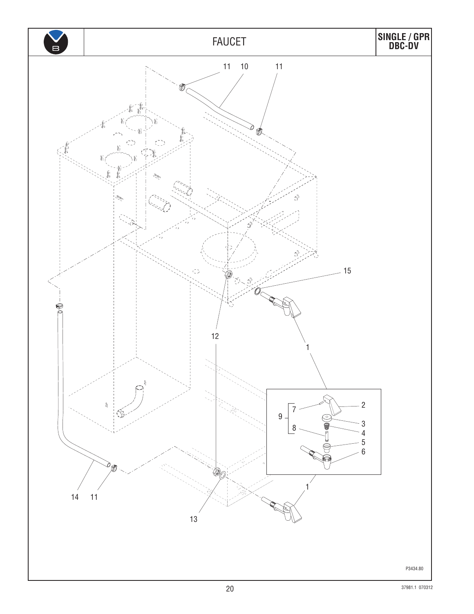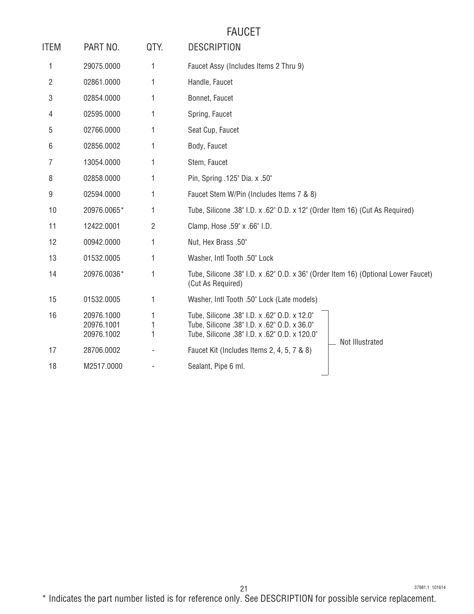# FAUCET

| <b>ITEM</b> | PART NO.                               | QTY. | <b>DESCRIPTION</b>                                                                                                                            |
|-------------|----------------------------------------|------|-----------------------------------------------------------------------------------------------------------------------------------------------|
| 1           | 29075.0000                             | 1    | Faucet Assy (Includes Items 2 Thru 9)                                                                                                         |
| 2           | 02861.0000                             |      | Handle, Faucet                                                                                                                                |
| 3           | 02854.0000                             | 1    | Bonnet, Faucet                                                                                                                                |
| 4           | 02595.0000                             | 1    | Spring, Faucet                                                                                                                                |
| 5           | 02766.0000                             | 1    | Seat Cup, Faucet                                                                                                                              |
| 6           | 02856.0002                             |      | Body, Faucet                                                                                                                                  |
| 7           | 13054.0000                             | 1    | Stem, Faucet                                                                                                                                  |
| 8           | 02858.0000                             | 1    | Pin, Spring .125" Dia. x .50"                                                                                                                 |
| 9           | 02594.0000                             | 1    | Faucet Stem W/Pin (Includes Items 7 & 8)                                                                                                      |
| 10          | 20976.0065*                            | 1    | Tube, Silicone .38" I.D. x .62" O.D. x 12" (Order Item 16) (Cut As Required)                                                                  |
| 11          | 12422.0001                             | 2    | Clamp, Hose .59" x .66" I.D.                                                                                                                  |
| 12          | 00942.0000                             | 1    | Nut, Hex Brass .50"                                                                                                                           |
| 13          | 01532.0005                             | 1    | Washer, Intl Tooth .50" Lock                                                                                                                  |
| 14          | 20976.0036*                            | 1    | Tube, Silicone .38" I.D. x .62" O.D. x 36" (Order Item 16) (Optional Lower Faucet)<br>(Cut As Required)                                       |
| 15          | 01532.0005                             | 1    | Washer, Intl Tooth .50" Lock (Late models)                                                                                                    |
| 16          | 20976.1000<br>20976.1001<br>20976.1002 |      | Tube, Silicone .38" I.D. x .62" O.D. x 12.0"<br>Tube, Silicone .38" I.D. x .62" O.D. x 36.0"<br>Tube, Silicone .38" I.D. x .62" O.D. x 120.0" |
| 17          | 28706.0002                             |      | Not Illustrated<br>Faucet Kit (Includes Items 2, 4, 5, 7 & 8)                                                                                 |
| 18          | M2517.0000                             |      | Sealant, Pipe 6 ml.                                                                                                                           |
|             |                                        |      |                                                                                                                                               |

37981.1 101614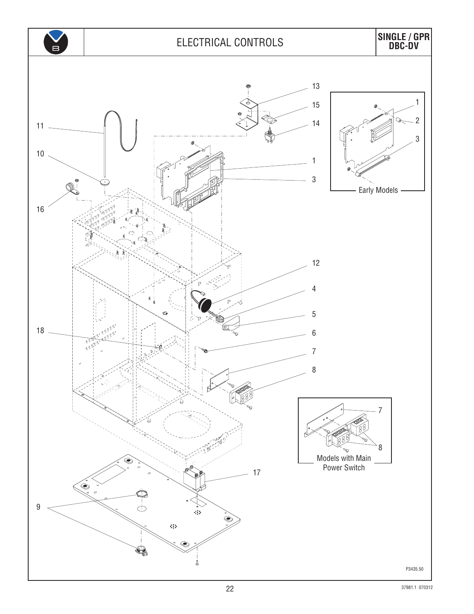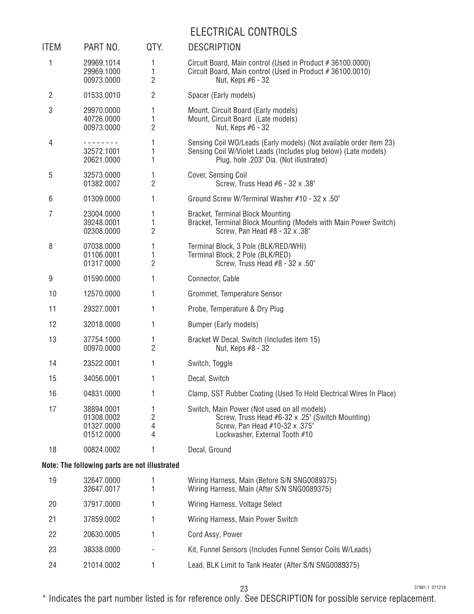# ELECTRICAL CONTROLS

| ITEM           | PART NO.                                             | QTY.                     | <b>DESCRIPTION</b>                                                                                                                                                               |
|----------------|------------------------------------------------------|--------------------------|----------------------------------------------------------------------------------------------------------------------------------------------------------------------------------|
| 1              | 29969.1014<br>29969.1000<br>00973.0000               | 1<br>1<br>$\overline{2}$ | Circuit Board, Main control (Used in Product #36100.0000)<br>Circuit Board, Main control (Used in Product #36100.0010)<br>Nut, Keps #6 - 32                                      |
| $\overline{2}$ | 01533.0010                                           | $\overline{2}$           | Spacer (Early models)                                                                                                                                                            |
| 3              | 29970.0000<br>40726.0000<br>00973.0000               | 1<br>1<br>2              | Mount, Circuit Board (Early models)<br>Mount, Circuit Board (Late models)<br>Nut, Keps #6 - 32                                                                                   |
| 4              | - - - - - - - -<br>32572.1001<br>20621.0000          | 1<br>1<br>1              | Sensing Coil WO/Leads (Early models) (Not available order item 23)<br>Sensing Coil W/Violet Leads (Includes plug below) (Late models)<br>Plug, hole .203" Dia. (Not illustrated) |
| 5              | 32573.0000<br>01382.0007                             | 1<br>$\overline{2}$      | Cover, Sensing Coil<br>Screw, Truss Head #6 - 32 x .38"                                                                                                                          |
| 6              | 01309.0000                                           | 1                        | Ground Screw W/Terminal Washer #10 - 32 x .50"                                                                                                                                   |
| 7              | 23004.0000<br>39248.0001<br>02308.0000               | 1<br>1<br>2              | Bracket, Terminal Block Mounting<br>Bracket, Terminal Block Mounting (Models with Main Power Switch)<br>Screw, Pan Head #8 - 32 x .38"                                           |
| 8              | 07038.0000<br>01106.0001<br>01317.0000               | 1<br>1<br>2              | Terminal Block, 3 Pole (BLK/RED/WHI)<br>Terminal Block, 2 Pole (BLK/RED)<br>Screw, Truss Head #8 - 32 x .50"                                                                     |
| 9              | 01590.0000                                           | 1                        | Connector, Cable                                                                                                                                                                 |
| 10             | 12570.0000                                           | 1                        | Grommet, Temperature Sensor                                                                                                                                                      |
| 11             | 29327.0001                                           | 1                        | Probe, Temperature & Dry Plug                                                                                                                                                    |
| 12             | 32018.0000                                           | 1                        | Bumper (Early models)                                                                                                                                                            |
| 13             | 37754.1000<br>00970.0000                             | 1<br>$\overline{2}$      | Bracket W Decal, Switch (Includes item 15)<br>Nut, Keps #8 - 32                                                                                                                  |
| 14             | 23522.0001                                           | 1                        | Switch, Toggle                                                                                                                                                                   |
| 15             | 34056.0001                                           | 1                        | Decal, Switch                                                                                                                                                                    |
| 16             | 04831.0000                                           |                          | Clamp, SST Rubber Coating (Used To Hold Electrical Wires In Place)                                                                                                               |
| 17             | 38894.0001<br>01308.0002<br>01327.0000<br>01512.0000 | 1<br>2<br>4<br>4         | Switch, Main Power (Not used on all models)<br>Screw, Truss Head #6-32 x .25" (Switch Mounting)<br>Screw, Pan Head #10-32 x .375"<br>Lockwasher, External Tooth #10              |
| 18             | 00824.0002                                           | 1                        | Decal, Ground                                                                                                                                                                    |
|                | Note: The following parts are not illustrated        |                          |                                                                                                                                                                                  |
| 19             | 32647.0000<br>32647.0017                             | 1<br>1                   | Wiring Harness, Main (Before S/N SNG0089375)<br>Wiring Harness, Main (After S/N SNG0089375)                                                                                      |
| 20             | 37917.0000                                           | 1                        | Wiring Harness, Voltage Select                                                                                                                                                   |
| 21             | 37859.0002                                           | 1                        | Wiring Harness, Main Power Switch                                                                                                                                                |
| 22             | 20630.0005                                           | 1                        | Cord Assy, Power                                                                                                                                                                 |
| 23             | 38338.0000                                           |                          | Kit, Funnel Sensors (Includes Funnel Sensor Coils W/Leads)                                                                                                                       |
| 24             | 21014.0002                                           | 1                        | Lead, BLK Limit to Tank Heater (After S/N SNG0089375)                                                                                                                            |

23

37981.1 071219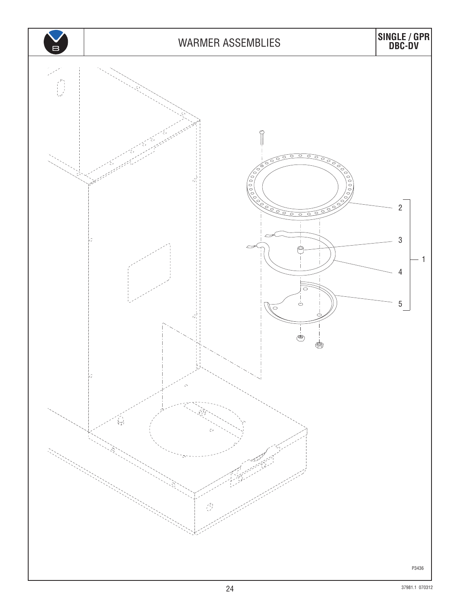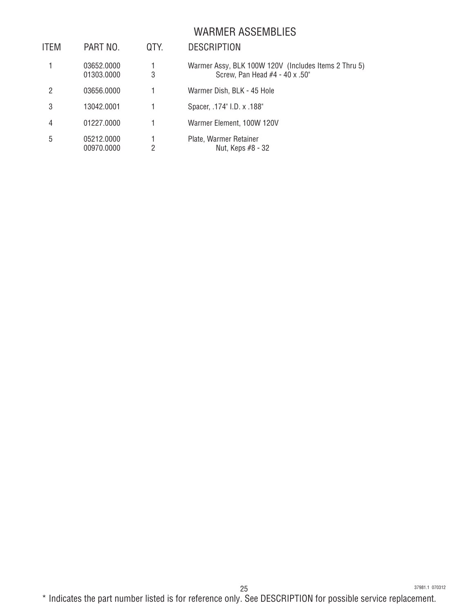#### WARMER ASSEMBLIES

| ITEM | PART NO.                 | QTY. | <b>DESCRIPTION</b>                                                                     |
|------|--------------------------|------|----------------------------------------------------------------------------------------|
|      | 03652.0000<br>01303.0000 | 3    | Warmer Assy, BLK 100W 120V (Includes Items 2 Thru 5)<br>Screw, Pan Head #4 - 40 x .50" |
| 2    | 03656.0000               |      | Warmer Dish, BLK - 45 Hole                                                             |
| 3    | 13042.0001               |      | Spacer, .174" I.D. x .188"                                                             |
| 4    | 01227.0000               |      | Warmer Element, 100W 120V                                                              |
| 5    | 05212.0000<br>00970.0000 | 2    | Plate, Warmer Retainer<br>Nut, Keps #8 - 32                                            |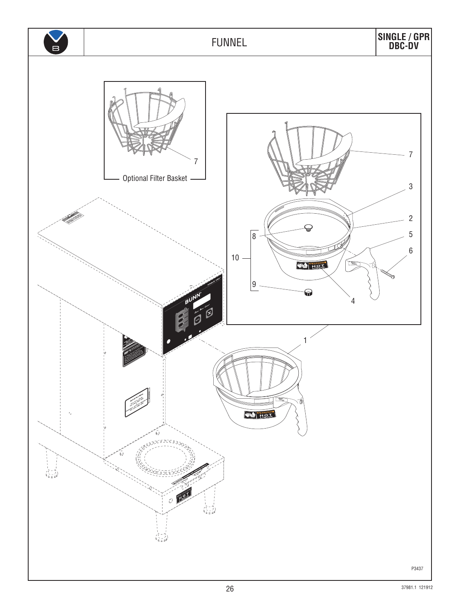